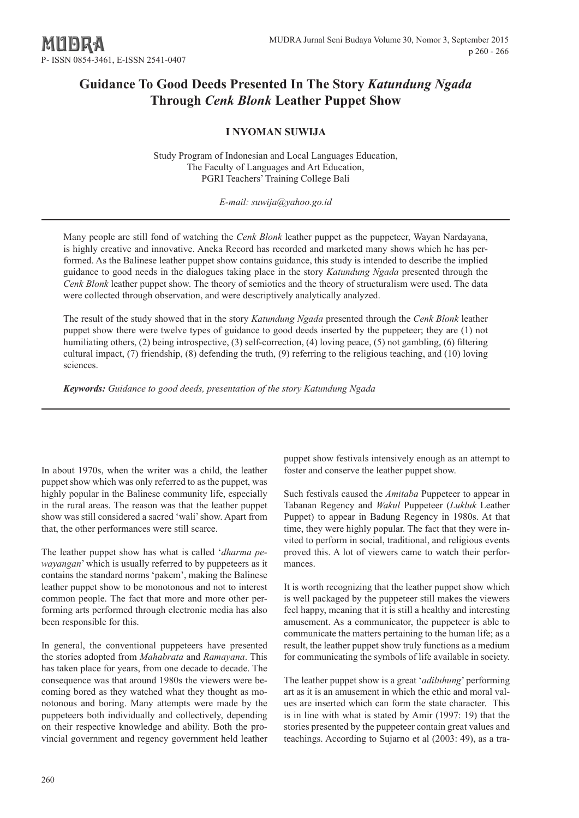# **Guidance To Good Deeds Presented In The Story** *Katundung Ngada* **Through** *Cenk Blonk* **Leather Puppet Show**

# **I NYOMAN SUWIJA**

Study Program of Indonesian and Local Languages Education, The Faculty of Languages and Art Education, PGRI Teachers' Training College Bali

*E-mail: suwija@yahoo.go.id*

Many people are still fond of watching the *Cenk Blonk* leather puppet as the puppeteer, Wayan Nardayana, is highly creative and innovative. Aneka Record has recorded and marketed many shows which he has performed. As the Balinese leather puppet show contains guidance, this study is intended to describe the implied guidance to good needs in the dialogues taking place in the story *Katundung Ngada* presented through the *Cenk Blonk* leather puppet show. The theory of semiotics and the theory of structuralism were used. The data were collected through observation, and were descriptively analytically analyzed.

The result of the study showed that in the story *Katundung Ngada* presented through the *Cenk Blonk* leather puppet show there were twelve types of guidance to good deeds inserted by the puppeteer; they are (1) not humiliating others, (2) being introspective, (3) self-correction, (4) loving peace, (5) not gambling, (6) filtering cultural impact, (7) friendship, (8) defending the truth, (9) referring to the religious teaching, and (10) loving sciences.

*Keywords: Guidance to good deeds, presentation of the story Katundung Ngada*

In about 1970s, when the writer was a child, the leather puppet show which was only referred to as the puppet, was highly popular in the Balinese community life, especially in the rural areas. The reason was that the leather puppet show was still considered a sacred 'wali' show. Apart from that, the other performances were still scarce.

The leather puppet show has what is called '*dharma pewayangan*' which is usually referred to by puppeteers as it contains the standard norms 'pakem', making the Balinese leather puppet show to be monotonous and not to interest common people. The fact that more and more other performing arts performed through electronic media has also been responsible for this.

In general, the conventional puppeteers have presented the stories adopted from *Mahabrata* and *Ramayana*. This has taken place for years, from one decade to decade. The consequence was that around 1980s the viewers were becoming bored as they watched what they thought as monotonous and boring. Many attempts were made by the puppeteers both individually and collectively, depending on their respective knowledge and ability. Both the provincial government and regency government held leather puppet show festivals intensively enough as an attempt to foster and conserve the leather puppet show.

Such festivals caused the *Amitaba* Puppeteer to appear in Tabanan Regency and *Wakul* Puppeteer (*Lukluk* Leather Puppet) to appear in Badung Regency in 1980s. At that time, they were highly popular. The fact that they were invited to perform in social, traditional, and religious events proved this. A lot of viewers came to watch their performances.

It is worth recognizing that the leather puppet show which is well packaged by the puppeteer still makes the viewers feel happy, meaning that it is still a healthy and interesting amusement. As a communicator, the puppeteer is able to communicate the matters pertaining to the human life; as a result, the leather puppet show truly functions as a medium for communicating the symbols of life available in society.

The leather puppet show is a great '*adiluhung*' performing art as it is an amusement in which the ethic and moral values are inserted which can form the state character. This is in line with what is stated by Amir (1997: 19) that the stories presented by the puppeteer contain great values and teachings. According to Sujarno et al (2003: 49), as a tra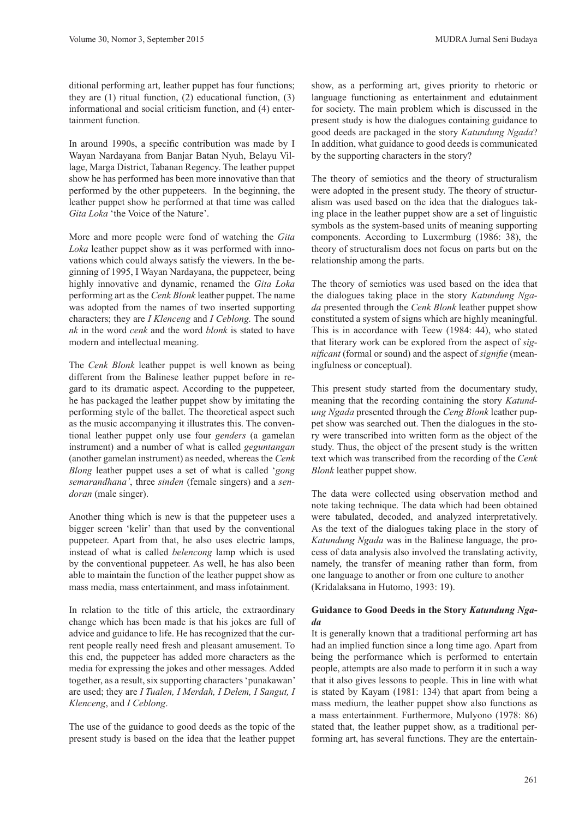ditional performing art, leather puppet has four functions; they are (1) ritual function, (2) educational function, (3) informational and social criticism function, and (4) entertainment function.

In around 1990s, a specific contribution was made by I Wayan Nardayana from Banjar Batan Nyuh, Belayu Village, Marga District, Tabanan Regency. The leather puppet show he has performed has been more innovative than that performed by the other puppeteers. In the beginning, the leather puppet show he performed at that time was called *Gita Loka* 'the Voice of the Nature'.

More and more people were fond of watching the *Gita Loka* leather puppet show as it was performed with innovations which could always satisfy the viewers. In the beginning of 1995, I Wayan Nardayana, the puppeteer, being highly innovative and dynamic, renamed the *Gita Loka* performing art as the *Cenk Blonk* leather puppet. The name was adopted from the names of two inserted supporting characters; they are *I Klenceng* and *I Ceblong.* The sound *nk* in the word *cenk* and the word *blonk* is stated to have modern and intellectual meaning.

The *Cenk Blonk* leather puppet is well known as being different from the Balinese leather puppet before in regard to its dramatic aspect. According to the puppeteer, he has packaged the leather puppet show by imitating the performing style of the ballet. The theoretical aspect such as the music accompanying it illustrates this. The conventional leather puppet only use four *genders* (a gamelan instrument) and a number of what is called *geguntangan* (another gamelan instrument) as needed, whereas the *Cenk Blong* leather puppet uses a set of what is called '*gong semarandhana'*, three *sinden* (female singers) and a *sendoran* (male singer).

Another thing which is new is that the puppeteer uses a bigger screen 'kelir' than that used by the conventional puppeteer. Apart from that, he also uses electric lamps, instead of what is called *belencong* lamp which is used by the conventional puppeteer. As well, he has also been able to maintain the function of the leather puppet show as mass media, mass entertainment, and mass infotainment.

In relation to the title of this article, the extraordinary change which has been made is that his jokes are full of advice and guidance to life. He has recognized that the current people really need fresh and pleasant amusement. To this end, the puppeteer has added more characters as the media for expressing the jokes and other messages. Added together, as a result, six supporting characters 'punakawan' are used; they are *I Tualen, I Merdah, I Delem, I Sangut, I Klenceng*, and *I Ceblong*.

The use of the guidance to good deeds as the topic of the present study is based on the idea that the leather puppet show, as a performing art, gives priority to rhetoric or language functioning as entertainment and edutainment for society. The main problem which is discussed in the present study is how the dialogues containing guidance to good deeds are packaged in the story *Katundung Ngada*? In addition, what guidance to good deeds is communicated by the supporting characters in the story?

The theory of semiotics and the theory of structuralism were adopted in the present study. The theory of structuralism was used based on the idea that the dialogues taking place in the leather puppet show are a set of linguistic symbols as the system-based units of meaning supporting components. According to Luxermburg (1986: 38), the theory of structuralism does not focus on parts but on the relationship among the parts.

The theory of semiotics was used based on the idea that the dialogues taking place in the story *Katundung Ngada* presented through the *Cenk Blonk* leather puppet show constituted a system of signs which are highly meaningful. This is in accordance with Teew (1984: 44), who stated that literary work can be explored from the aspect of *significant* (formal or sound) and the aspect of *signifie* (meaningfulness or conceptual).

This present study started from the documentary study, meaning that the recording containing the story *Katundung Ngada* presented through the *Ceng Blonk* leather puppet show was searched out. Then the dialogues in the story were transcribed into written form as the object of the study. Thus, the object of the present study is the written text which was transcribed from the recording of the *Cenk Blonk* leather puppet show.

The data were collected using observation method and note taking technique. The data which had been obtained were tabulated, decoded, and analyzed interpretatively. As the text of the dialogues taking place in the story of *Katundung Ngada* was in the Balinese language, the process of data analysis also involved the translating activity, namely, the transfer of meaning rather than form, from one language to another or from one culture to another (Kridalaksana in Hutomo, 1993: 19).

# **Guidance to Good Deeds in the Story** *Katundung Ngada*

It is generally known that a traditional performing art has had an implied function since a long time ago. Apart from being the performance which is performed to entertain people, attempts are also made to perform it in such a way that it also gives lessons to people. This in line with what is stated by Kayam (1981: 134) that apart from being a mass medium, the leather puppet show also functions as a mass entertainment. Furthermore, Mulyono (1978: 86) stated that, the leather puppet show, as a traditional performing art, has several functions. They are the entertain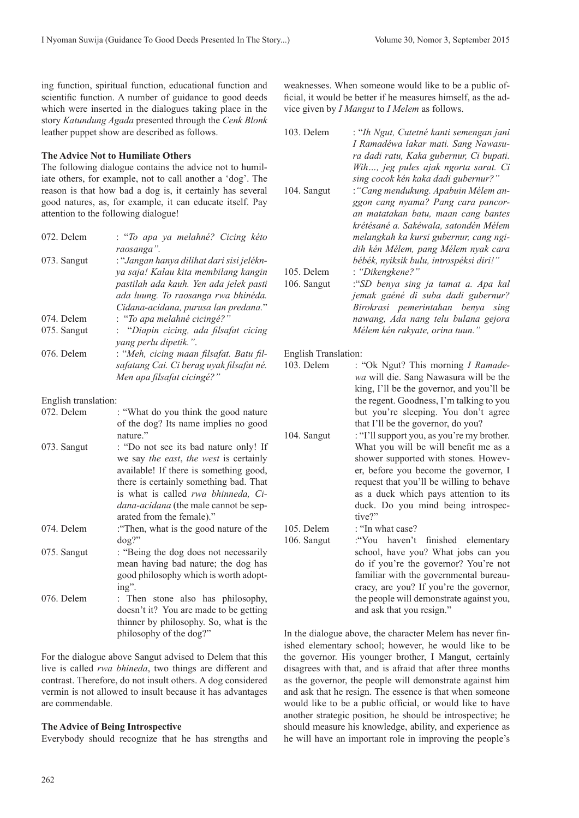ing function, spiritual function, educational function and scientific function. A number of guidance to good deeds which were inserted in the dialogues taking place in the story *Katundung Agada* presented through the *Cenk Blonk* leather puppet show are described as follows.

# **The Advice Not to Humiliate Others**

The following dialogue contains the advice not to humi iate others, for example, not to call another a 'dog'. The reason is that how bad a dog is, it certainly has several good natures, as, for example, it can educate itself. Pay attention to the following dialogue!

| 072. Delem  | : "To apa ya melahné? Cicing kéto<br>raosanga".                                                                                                                                                            |
|-------------|------------------------------------------------------------------------------------------------------------------------------------------------------------------------------------------------------------|
| 073. Sangut | : "Jangan hanya dilihat dari sisi jelékn-<br>ya saja! Kalau kita membilang kangin<br>pastilah ada kauh. Yen ada jelek pasti<br>ada luung. To raosanga rwa bhinéda.<br>Cidana-acidana, purusa lan predana." |
| 074. Delem  | : "To apa melahné cicingé?"                                                                                                                                                                                |
| 075. Sangut | : "Diapin cicing, ada filsafat cicing<br>yang perlu dipetik.".                                                                                                                                             |
| 076. Delem  | : "Meh, cicing maan filsafat. Batu fil-<br>safatang Cai. Ci berag uyak filsafat né.<br>Men apa filsafat cicingé?"                                                                                          |

English translation:

| 072. Delem  | : "What do you think the good nature"                                                                                                                                                                                                                                            |
|-------------|----------------------------------------------------------------------------------------------------------------------------------------------------------------------------------------------------------------------------------------------------------------------------------|
|             | of the dog? Its name implies no good                                                                                                                                                                                                                                             |
|             | nature."                                                                                                                                                                                                                                                                         |
| 073. Sangut | : "Do not see its bad nature only! If<br>we say the east, the west is certainly<br>available! If there is something good,<br>there is certainly something bad. That<br>is what is called rwa bhinneda, Ci-<br>dana-acidana (the male cannot be sep-<br>arated from the female)." |
| 074. Delem  | : "Then, what is the good nature of the                                                                                                                                                                                                                                          |
|             | $\log$ ?"                                                                                                                                                                                                                                                                        |
| 075. Sangut | : "Being the dog does not necessarily                                                                                                                                                                                                                                            |
|             | mean having bad nature; the dog has                                                                                                                                                                                                                                              |
|             | good philosophy which is worth adopt-                                                                                                                                                                                                                                            |
|             | $ing$ ".                                                                                                                                                                                                                                                                         |
| 076. Delem  | : Then stone also has philosophy,                                                                                                                                                                                                                                                |
|             | doesn't it? You are made to be getting                                                                                                                                                                                                                                           |
|             | thinner by philosophy. So, what is the                                                                                                                                                                                                                                           |
|             | philosophy of the dog?"                                                                                                                                                                                                                                                          |

For the dialogue above Sangut advised to Delem that this live is called *rwa bhineda*, two things are different and contrast. Therefore, do not insult others. A dog considered vermin is not allowed to insult because it has advantages are commendable.

#### **The Advice of Being Introspective**

Everybody should recognize that he has strengths and

weaknesses. When someone would like to be a public official, it would be better if he measures himself, as the advice given by *I Mangut* to *I Melem* as follows.

|         | 103. Delem           | : "Ih Ngut, Cutetné kanti semengan jani<br>I Ramadéwa lakar mati. Sang Nawasu-    |
|---------|----------------------|-----------------------------------------------------------------------------------|
| l-      |                      | ra dadi ratu, Kaka gubernur, Ci bupati.<br>Wih, jeg pules ajak ngorta sarat. Ci   |
| e       |                      | sing cocok kén kaka dadi gubernur?"                                               |
| ıl      | 104. Sangut          | : "Cang mendukung. Apabuin Mélem an-                                              |
| y       |                      | ggon cang nyama? Pang cara pancor-                                                |
|         |                      | an matatakan batu, maan cang bantes                                               |
|         |                      | krétésané a. Sakéwala, satondén Mélem                                             |
| 0       |                      | melangkah ka kursi gubernur, cang ngi-                                            |
|         |                      | dih kén Mélem, pang Mélem nyak cara                                               |
| l-      | 105. Delem           | bébék, nyiksik bulu, introspéksi diri!"                                           |
| n<br>ti | 106. Sangut          | : "Dikengkene?"                                                                   |
| ı.      |                      | "SD benya sing ja tamat a. Apa kal<br>jemak gaéné di suba dadi gubernur?          |
| ,       |                      | Birokrasi pemerintahan benya sing                                                 |
|         |                      | nawang, Ada nang telu bulana gejora                                               |
| g       |                      | Mélem kén rakyate, orina tuun."                                                   |
| ļ-      | English Translation: |                                                                                   |
| ź.      | 103. Delem           | : "Ok Ngut? This morning I Ramade-                                                |
|         |                      | wa will die. Sang Nawasura will be the                                            |
|         |                      | king, I'll be the governor, and you'll be                                         |
|         |                      | the regent. Goodness, I'm talking to you                                          |
| e       |                      | but you're sleeping. You don't agree                                              |
| d       |                      | that I'll be the governor, do you?                                                |
|         | 104. Sangut          | : "I'll support you, as you're my brother.                                        |
| ſf      |                      | What you will be will benefit me as a<br>shower supported with stones. Howev-     |
| y<br>l, |                      | er, before you become the governor, I                                             |
| ıt      |                      | request that you'll be willing to behave                                          |
| į-      |                      | as a duck which pays attention to its                                             |
| $-$     |                      | duck. Do you mind being introspec-                                                |
|         |                      | tive?"                                                                            |
| e       | 105. Delem           | : "In what case?                                                                  |
|         | 106. Sangut          | haven't<br>:"You<br>finished elementary                                           |
| у       |                      | school, have you? What jobs can you                                               |
| ιS      |                      | do if you're the governor? You're not                                             |
| t-      |                      | familiar with the governmental bureau-<br>cracy, are you? If you're the governor, |
|         |                      | the people will demonstrate against you,                                          |
| y,<br>g |                      | and ask that you resign."                                                         |
|         |                      |                                                                                   |

In the dialogue above, the character Melem has never finished elementary school; however, he would like to be the governor. His younger brother, I Mangut, certainly disagrees with that, and is afraid that after three months as the governor, the people will demonstrate against him and ask that he resign. The essence is that when someone would like to be a public official, or would like to have another strategic position, he should be introspective; he should measure his knowledge, ability, and experience as he will have an important role in improving the people's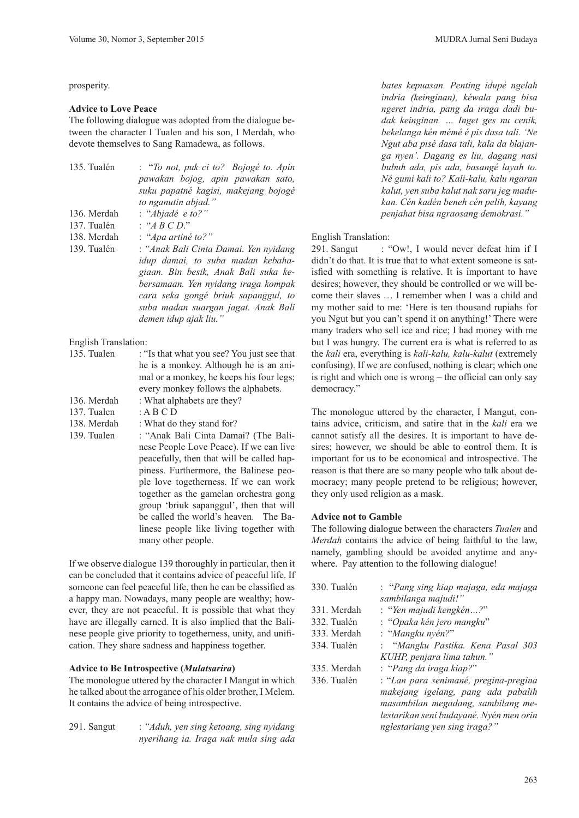prosperity.

#### **Advice to Love Peace**

The following dialogue was adopted from the dialogue between the character I Tualen and his son, I Merdah, who devote themselves to Sang Ramadewa, as follows.

| 135. Tualén | : "To not, puk ci to? Bojogé to. Apin |
|-------------|---------------------------------------|
|             | pawakan bojog, apin pawakan sato,     |
|             | suku papatné kagisi, makejang bojogé  |
|             | to nganutin abjad."                   |
| 136. Merdah | : "Abjadé e to?"                      |
| 137. Tualén | : ``ABCD"                             |
| 138. Merdah | : "Apa artiné to?"                    |
| 139. Tualén | : "Anak Bali Cinta Damai. Yen nyidang |
|             | idup damai, to suba madan kebaha-     |
|             | giaan. Bin besik, Anak Bali suka ke-  |
|             | bersamaan. Yen nyidang iraga kompak   |
|             | cara seka gongé briuk sapanggul, to   |
|             | suba madan suargan jagat. Anak Bali   |
|             | demen idup ajak liu."                 |
|             |                                       |
|             |                                       |

English Translation:

| 135. Tualen | : "Is that what you see? You just see that |  |
|-------------|--------------------------------------------|--|
|             | he is a monkey. Although he is an ani-     |  |
|             | mal or a monkey, he keeps his four legs;   |  |
|             | every monkey follows the alphabets.        |  |
| 136. Merdah | : What alphabets are they?                 |  |
| 137. Tualen | : A B C D                                  |  |
| 138. Merdah | : What do they stand for?                  |  |
| 139. Tualen | : "Anak Bali Cinta Damai? (The Bali-       |  |
|             | nese People Love Peace). If we can live    |  |
|             | peacefully, then that will be called hap-  |  |
|             | piness. Furthermore, the Balinese peo-     |  |
|             | ple love togetherness. If we can work      |  |
|             | together as the gamelan orchestra gong     |  |
|             | group 'briuk sapanggul', then that will    |  |
|             | be called the world's heaven. The Ba-      |  |

If we observe dialogue 139 thoroughly in particular, then it can be concluded that it contains advice of peaceful life. If someone can feel peaceful life, then he can be classified as a happy man. Nowadays, many people are wealthy; however, they are not peaceful. It is possible that what they have are illegally earned. It is also implied that the Balinese people give priority to togetherness, unity, and unification. They share sadness and happiness together.

many other people.

linese people like living together with

#### **Advice to Be Introspective (***Mulatsarira***)**

The monologue uttered by the character I Mangut in which he talked about the arrogance of his older brother, I Melem. It contains the advice of being introspective.

291. Sangut : *"Aduh, yen sing ketoang, sing nyidang nyerihang ia. Iraga nak mula sing ada* 

*bates kepuasan. Penting idupé ngelah indria (keinginan), kéwala pang bisa ngeret indria, pang da iraga dadi budak keinginan. … Inget ges nu cenik, bekelanga kén mémé é pis dasa tali. 'Ne Ngut aba pisé dasa tali, kala da blajanga nyen'. Dagang es liu, dagang nasi bubuh ada, pis ada, basangé layah to. Né gumi kali to? Kali-kalu, kalu ngaran kalut, yen suba kalut nak saru jeg madukan. Cén kadén beneh cén pelih, kayang penjahat bisa ngraosang demokrasi."* 

#### English Translation:

291. Sangut : "Ow!, I would never defeat him if I didn't do that. It is true that to what extent someone is satisfied with something is relative. It is important to have desires; however, they should be controlled or we will become their slaves … I remember when I was a child and my mother said to me: 'Here is ten thousand rupiahs for you Ngut but you can't spend it on anything!' There were many traders who sell ice and rice; I had money with me but I was hungry. The current era is what is referred to as the *kali* era, everything is *kali-kalu, kalu-kalut* (extremely confusing). If we are confused, nothing is clear; which one is right and which one is wrong – the official can only say democracy."

The monologue uttered by the character, I Mangut, contains advice, criticism, and satire that in the *kali* era we cannot satisfy all the desires. It is important to have desires; however, we should be able to control them. It is important for us to be economical and introspective. The reason is that there are so many people who talk about democracy; many people pretend to be religious; however, they only used religion as a mask.

#### **Advice not to Gamble**

The following dialogue between the characters *Tualen* and *Merdah* contains the advice of being faithful to the law, namely, gambling should be avoided anytime and anywhere. Pay attention to the following dialogue!

| 330. Tualén | : "Pang sing kiap majaga, eda majaga    |
|-------------|-----------------------------------------|
|             | sambilanga majudi!"                     |
| 331. Merdah | : "Yen majudi kengkén?"                 |
| 332. Tualén | : "Opaka kén jero mangku"               |
| 333. Merdah | : "Mangku nyén?"                        |
| 334. Tualén | : "Mangku Pastika. Kena Pasal 303       |
|             | KUHP, penjara lima tahun."              |
| 335. Merdah | : "Pang da iraga kiap?"                 |
| 336. Tualén | : "Lan para senimané, pregina-pregina   |
|             | makejang igelang, pang ada pabalih      |
|             | masambilan megadang, sambilang me-      |
|             | lestarikan seni budayané. Nyén men orin |
|             | nglestariang yen sing iraga?"           |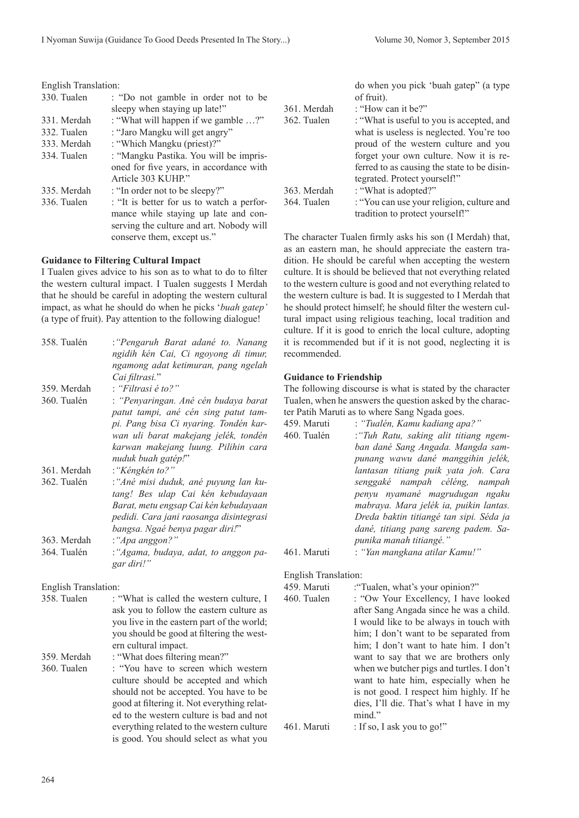conserve them, except us."

I Tualen gives advice to his son as to what to do to filter the western cultural impact. I Tualen suggests I Merdah that he should be careful in adopting the western cultural impact, as what he should do when he picks '*buah gatep'* (a type of fruit). Pay attention to the following dialogue!

358. Tualén :*"Pengaruh Barat adané to. Nanang* 

360. Tualén : *"Penyaringan. Ané cén budaya barat* 

*Cai filtrasi.*"

359. Merdah : *"Filtrasi é to?"*

*ngidih kén Cai, Ci ngoyong di timur, ngamong adat ketimuran, pang ngelah* 

**Guidance to Filtering Cultural Impact**

|  | English Translation: |
|--|----------------------|
|--|----------------------|

| <b>English Translation:</b> |                                           |             | do when you pick 'buah gatep' (a type       |
|-----------------------------|-------------------------------------------|-------------|---------------------------------------------|
| 330. Tualen                 | : "Do not gamble in order not to be       |             | of fruit).                                  |
|                             | sleepy when staying up late!"             | 361. Merdah | : "How can it be?"                          |
| 331. Merdah                 | : "What will happen if we gamble ?"       | 362. Tualen | : "What is useful to you is accepted, and   |
| 332. Tualen                 | : "Jaro Mangku will get angry"            |             | what is useless is neglected. You're too    |
| 333. Merdah                 | : "Which Mangku (priest)?"                |             | proud of the western culture and you        |
| 334. Tualen                 | : "Mangku Pastika. You will be impris-    |             | forget your own culture. Now it is re-      |
|                             | oned for five years, in accordance with   |             | ferred to as causing the state to be disin- |
|                             | Article 303 KUHP."                        |             | tegrated. Protect yourself!"                |
| 335. Merdah                 | : "In order not to be sleepy?"            | 363. Merdah | : "What is adopted?"                        |
| 336. Tualen                 | : "It is better for us to watch a perfor- | 364. Tualen | : "You can use your religion, culture and   |
|                             | mance while staying up late and con-      |             | tradition to protect yourself!"             |
|                             | serving the culture and art. Nobody will  |             |                                             |

The character Tualen firmly asks his son (I Merdah) that, as an eastern man, he should appreciate the eastern tradition. He should be careful when accepting the western culture. It is should be believed that not everything related to the western culture is good and not everything related to the western culture is bad. It is suggested to I Merdah that he should protect himself; he should filter the western cultural impact using religious teaching, local tradition and culture. If it is good to enrich the local culture, adopting it is recommended but if it is not good, neglecting it is recommended.

#### **Guidance to Friendship**

The following discourse is what is stated by the character Tualen, when he answers the question asked by the character Patih Maruti as to where Sang Ngada goes.

> him; I don't want to be separated from him; I don't want to hate him. I don't want to say that we are brothers only when we butcher pigs and turtles. I don't want to hate him, especially when he is not good. I respect him highly. If he dies, I'll die. That's what I have in my

|                             | patut tampi, ané cén sing patut tam-       |                             | ter Patih Maruti as to where Sang Ngada goes. |  |
|-----------------------------|--------------------------------------------|-----------------------------|-----------------------------------------------|--|
|                             | pi. Pang bisa Ci nyaring. Tondén kar-      | 459. Maruti                 | : "Tualén, Kamu kadiang apa?"                 |  |
|                             | wan uli barat makejang jelék, tondén       | 460. Tualén                 | : "Tuh Ratu, saking alit titiang ngem-        |  |
|                             | karwan makejang luung. Pilihin cara        |                             | ban dané Sang Angada. Mangda sam-             |  |
|                             | nuduk buah gatép!"                         |                             | punang wawu dané manggihin jelék,             |  |
| 361. Merdah                 | : "Kéngkén to?"                            |                             | lantasan titiang puik yata joh. Cara          |  |
| 362. Tualén                 | :"Ané misi duduk, ané puyung lan ku-       |                             | senggaké nampah céléng, nampah                |  |
|                             | tang! Bes ulap Cai kén kebudayaan          |                             | penyu nyamané magrudugan ngaku                |  |
|                             | Barat, metu engsap Cai kén kebudayaan      |                             | mabraya. Mara jelék ia, puikin lantas.        |  |
|                             | pedidi. Cara jani raosanga disintegrasi    |                             | Dreda baktin titiangé tan sipi. Séda ja       |  |
|                             | bangsa. Ngaé benya pagar diri!"            |                             | dané, titiang pang sareng padem. Sa-          |  |
| 363. Merdah                 | : "Apa anggon?"                            |                             | punika manah titiangé."                       |  |
| 364. Tualén                 | : "Agama, budaya, adat, to anggon pa-      | 461. Maruti                 | : "Yan mangkana atilar Kamu!"                 |  |
|                             | gar diri!"                                 |                             |                                               |  |
|                             |                                            | <b>English Translation:</b> |                                               |  |
| <b>English Translation:</b> |                                            | 459. Maruti                 | : "Tualen, what's your opinion?"              |  |
| 358. Tualen                 | : "What is called the western culture, I   | 460. Tualen                 | : "Ow Your Excellency, I have looked          |  |
|                             | ask you to follow the eastern culture as   |                             | after Sang Angada since he was a child.       |  |
|                             | you live in the eastern part of the world; |                             | I would like to be always in touch with       |  |

you should be good at filtering the western cultural impact. 359. Merdah : "What does filtering mean?" 360. Tualen : "You have to screen which western culture should be accepted and which should not be accepted. You have to be good at filtering it. Not everything related to the western culture is bad and not everything related to the western culture is good. You should select as what you

mind." 461. Maruti : If so, I ask you to go!"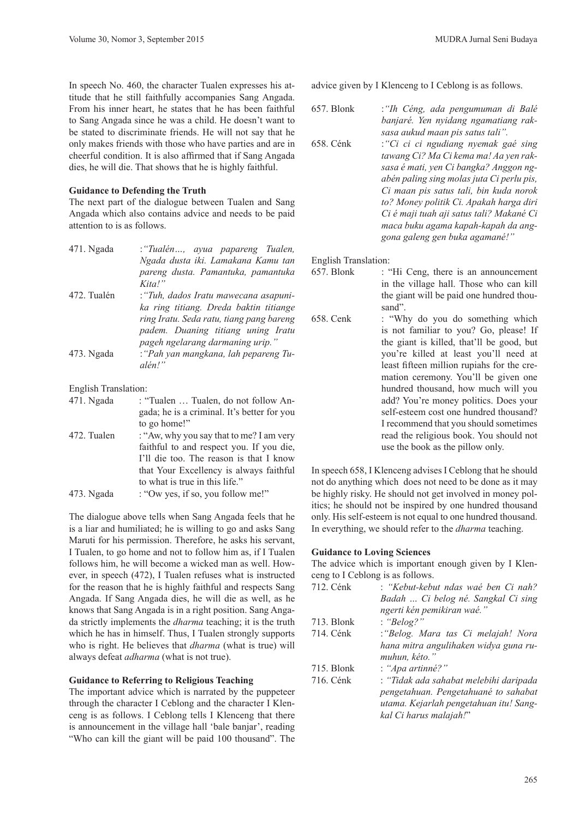In speech No. 460, the character Tualen expresses his attitude that he still faithfully accompanies Sang Angada. From his inner heart, he states that he has been faithful to Sang Angada since he was a child. He doesn't want to be stated to discriminate friends. He will not say that he only makes friends with those who have parties and are in cheerful condition. It is also affirmed that if Sang Angada dies, he will die. That shows that he is highly faithful.

# **Guidance to Defending the Truth**

The next part of the dialogue between Tualen and Sang Angada which also contains advice and needs to be paid attention to is as follows.

| 471. Ngada  | : "Tualén, ayua papareng Tualen,         |
|-------------|------------------------------------------|
|             | Ngada dusta iki. Lamakana Kamu tan       |
|             | pareng dusta. Pamantuka, pamantuka       |
|             | Kital'                                   |
| 472. Tualén | : "Tuh, dados Iratu mawecana asapuni-    |
|             | ka ring titiang. Dreda baktin titiange   |
|             | ring Iratu. Seda ratu, tiang pang bareng |
|             | padem. Duaning titiang uning Iratu       |
|             | pageh ngelarang darmaning urip."         |
| 473. Ngada  | : "Pah yan mangkana, lah pepareng Tu-    |
|             | alén!"                                   |
|             |                                          |

English Translation:

| 471. Ngada  | : "Tualen  Tualen, do not follow An-        |
|-------------|---------------------------------------------|
|             | gada; he is a criminal. It's better for you |
|             | to go home!"                                |
| 472. Tualen | : "Aw, why you say that to me? I am very    |
|             | faithful to and respect you. If you die,    |
|             | I'll die too. The reason is that I know     |
|             | that Your Excellency is always faithful     |
|             | to what is true in this life."              |
| 473. Ngada  | : "Ow yes, if so, you follow me!"           |

The dialogue above tells when Sang Angada feels that he is a liar and humiliated; he is willing to go and asks Sang Maruti for his permission. Therefore, he asks his servant, I Tualen, to go home and not to follow him as, if I Tualen follows him, he will become a wicked man as well. However, in speech (472), I Tualen refuses what is instructed for the reason that he is highly faithful and respects Sang Angada. If Sang Angada dies, he will die as well, as he knows that Sang Angada is in a right position. Sang Angada strictly implements the *dharma* teaching; it is the truth which he has in himself. Thus, I Tualen strongly supports who is right. He believes that *dharma* (what is true) will always defeat *adharma* (what is not true).

# **Guidance to Referring to Religious Teaching**

The important advice which is narrated by the puppeteer through the character I Ceblong and the character I Klenceng is as follows. I Ceblong tells I Klenceng that there is announcement in the village hall 'bale banjar', reading "Who can kill the giant will be paid 100 thousand". The

advice given by I Klenceng to I Ceblong is as follows.

657. Blonk :*"Ih Céng, ada pengumuman di Balé banjaré. Yen nyidang ngamatiang raksasa aukud maan pis satus tali".* 

658. Cénk :*"Ci ci ci ngudiang nyemak gaé sing tawang Ci? Ma Ci kema ma! Aa yen raksasa é mati, yen Ci bangka? Anggon ngabén paling sing molas juta Ci perlu pis, Ci maan pis satus tali, bin kuda norok to? Money politik Ci. Apakah harga diri Ci é maji tuah aji satus tali? Makané Ci maca buku agama kapah-kapah da anggona galeng gen buka agamané!"*

English Translation:

- 657. Blonk : "Hi Ceng, there is an announcement in the village hall. Those who can kill the giant will be paid one hundred thousand".
- 658. Cenk : "Why do you do something which is not familiar to you? Go, please! If the giant is killed, that'll be good, but you're killed at least you'll need at least fifteen million rupiahs for the cremation ceremony. You'll be given one hundred thousand, how much will you add? You're money politics. Does your self-esteem cost one hundred thousand? I recommend that you should sometimes read the religious book. You should not use the book as the pillow only.

In speech 658, I Klenceng advises I Ceblong that he should not do anything which does not need to be done as it may be highly risky. He should not get involved in money politics; he should not be inspired by one hundred thousand only. His self-esteem is not equal to one hundred thousand. In everything, we should refer to the *dharma* teaching.

# **Guidance to Loving Sciences**

The advice which is important enough given by I Klenceng to I Ceblong is as follows.

| 712. Cénk  | : "Kebut-kebut ndas waé ben Ci nah?    |
|------------|----------------------------------------|
|            | Badah  Ci belog né. Sangkal Ci sing    |
|            | ngerti kén pemikiran waé."             |
| 713. Blonk | : "Belog?"                             |
| 714. Cénk  | : "Belog. Mara tas Ci melajah! Nora    |
|            | hana mitra angulihaken widya guna ru-  |
|            | muhun, kéto."                          |
| 715. Blonk | : "Apa artinné?"                       |
| 716. Cénk  | : "Tidak ada sahabat melebihi daripada |
|            | pengetahuan. Pengetahuané to sahabat   |
|            | utama. Kejarlah pengetahuan itu! Sang- |
|            | kal Ci harus malajah!"                 |
|            |                                        |